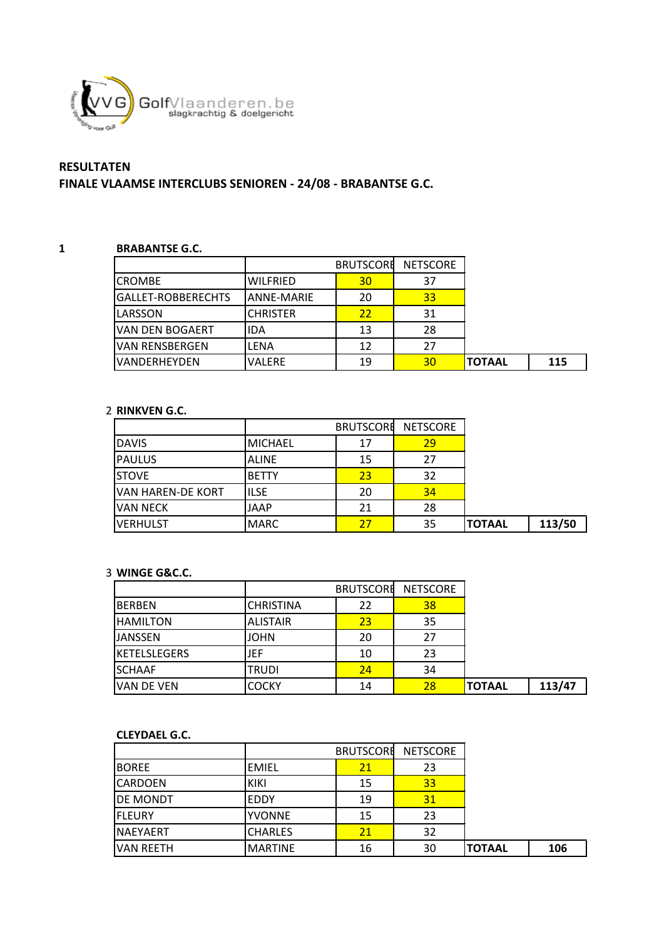

# **RESULTATEN**

# **FINALE VLAAMSE INTERCLUBS SENIOREN - 24/08 - BRABANTSE G.C.**

### **1 BRABANTSE G.C.**

|                      |                 | <b>BRUTSCORE</b> | <b>NETSCORE</b> |               |     |
|----------------------|-----------------|------------------|-----------------|---------------|-----|
| <b>ICROMBE</b>       | <b>WILFRIED</b> | 30               | 37              |               |     |
| IGALLET-ROBBERECHTS  | IANNE-MARIE     | 20               | 33              |               |     |
| <b>ILARSSON</b>      | <b>CHRISTER</b> | 22               | 31              |               |     |
| VAN DEN BOGAERT      | lida            | 13               | 28              |               |     |
| IVAN RENSBERGEN      | LENA            | 12               | 27              |               |     |
| <b>IVANDERHEYDEN</b> | <b>VALERE</b>   | 19               | 30              | <b>TOTAAL</b> | 115 |

## 2 **RINKVEN G.C.**

|                          |                | <b>BRUTSCORE</b> | <b>NETSCORE</b> |               |        |
|--------------------------|----------------|------------------|-----------------|---------------|--------|
| <b>DAVIS</b>             | <b>MICHAEL</b> | 17               | 29              |               |        |
| <b>PAULUS</b>            | <b>ALINE</b>   | 15               | 27              |               |        |
| <b>ISTOVE</b>            | <b>BETTY</b>   | 23               | 32              |               |        |
| <b>VAN HAREN-DE KORT</b> | <b>ILSE</b>    | 20               | 34              |               |        |
| IVAN NECK                | JAAP           | 21               | 28              |               |        |
| <b>IVERHULST</b>         | <b>MARC</b>    | 27               | 35              | <b>TOTAAL</b> | 113/50 |

#### 3 **WINGE G&C.C.**

|                     |                  | <b>BRUTSCORE</b> | <b>NETSCORE</b> |               |        |
|---------------------|------------------|------------------|-----------------|---------------|--------|
| <b>BERBEN</b>       | <b>CHRISTINA</b> | 22               | 38              |               |        |
| <b>HAMILTON</b>     | <b>ALISTAIR</b>  | 23               | 35              |               |        |
| <b>JANSSEN</b>      | <b>JOHN</b>      | 20               | 27              |               |        |
| <b>KETELSLEGERS</b> | JEF              | 10               | 23              |               |        |
| <b>SCHAAF</b>       | <b>TRUDI</b>     | 24               | 34              |               |        |
| VAN DE VEN          | <b>COCKY</b>     | 14               | 28              | <b>TOTAAL</b> | 113/47 |

#### **CLEYDAEL G.C.**

|                   |                | <b>BRUTSCORE</b> | <b>NETSCORE</b> |               |     |
|-------------------|----------------|------------------|-----------------|---------------|-----|
| <b>BOREE</b>      | EMIEL          | 21               | 23              |               |     |
| <b>ICARDOEN</b>   | KIKI           | 15               | 33              |               |     |
| <b>DE MONDT</b>   | <b>EDDY</b>    | 19               | 31              |               |     |
| <b>IFLEURY</b>    | <b>YVONNE</b>  | 15               | 23              |               |     |
| <b>INAEYAERT</b>  | <b>CHARLES</b> | 21               | 32              |               |     |
| <b>IVAN REETH</b> | <b>MARTINE</b> | 16               | 30              | <b>TOTAAL</b> | 106 |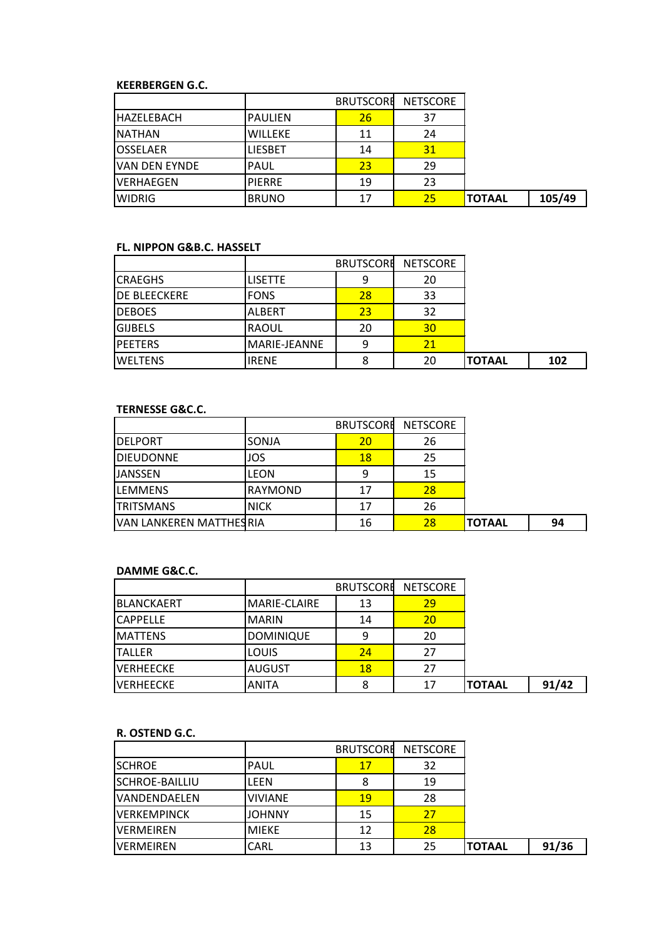#### **KEERBERGEN G.C.**

|                       |                | <b>BRUTSCORE</b> | <b>NETSCORE</b> |               |        |
|-----------------------|----------------|------------------|-----------------|---------------|--------|
| <b>HAZELEBACH</b>     | <b>PAULIEN</b> | 26 <sub>l</sub>  | 37              |               |        |
| <b>INATHAN</b>        | <b>WILLEKE</b> | 11               | 24              |               |        |
| <b>IOSSELAER</b>      | <b>LIESBET</b> | 14               | 31              |               |        |
| <b>IVAN DEN EYNDE</b> | <b>PAUL</b>    | 23               | 29              |               |        |
| <b>IVERHAEGEN</b>     | <b>PIERRE</b>  | 19               | 23              |               |        |
| <b>WIDRIG</b>         | <b>BRUNO</b>   | 17               | 25              | <b>TOTAAL</b> | 105/49 |

#### **FL. NIPPON G&B.C. HASSELT**

|                     |                | <b>BRUTSCORE</b> | <b>NETSCORE</b> |               |     |
|---------------------|----------------|------------------|-----------------|---------------|-----|
| <b>ICRAEGHS</b>     | <b>LISETTE</b> | 9                | 20              |               |     |
| <b>DE BLEECKERE</b> | <b>FONS</b>    | 28               | 33              |               |     |
| <b>DEBOES</b>       | <b>ALBERT</b>  | 23               | 32              |               |     |
| <b>GIJBELS</b>      | <b>RAOUL</b>   | 20               | 30              |               |     |
| <b>PEETERS</b>      | MARIE-JEANNE   | ٩                | 21              |               |     |
| <b>IWELTENS</b>     | <b>IRENE</b>   |                  | 20              | <b>TOTAAL</b> | 102 |

## **TERNESSE G&C.C.**

|                         |              | <b>BRUTSCORE</b> | <b>NETSCORE</b> |               |    |
|-------------------------|--------------|------------------|-----------------|---------------|----|
| <b>I</b> DELPORT        | <b>SONJA</b> | 20               | 26              |               |    |
| <b>DIEUDONNE</b>        | JOS          | 18               | 25              |               |    |
| <b>JANSSEN</b>          | <b>LEON</b>  | 9                | 15              |               |    |
| <b>LEMMENS</b>          | RAYMOND      | 17               | 28              |               |    |
| <b>TRITSMANS</b>        | <b>NICK</b>  | 17               | 26              |               |    |
| VAN LANKEREN MATTHESRIA |              | 16               | 28              | <b>TOTAAL</b> | 94 |

## **DAMME G&C.C.**

|                    |                  | <b>BRUTSCORE</b> | <b>NETSCORE</b> |               |       |
|--------------------|------------------|------------------|-----------------|---------------|-------|
| <b>IBLANCKAERT</b> | MARIE-CLAIRE     | 13               | 29              |               |       |
| <b>CAPPELLE</b>    | <b>MARIN</b>     | 14               | 20              |               |       |
| <b>MATTENS</b>     | <b>DOMINIQUE</b> | 9                | 20              |               |       |
| <b>ITALLER</b>     | LOUIS            | 24               | 27              |               |       |
| <b>IVERHEECKE</b>  | <b>AUGUST</b>    | 18               | 27              |               |       |
| <b>IVERHEECKE</b>  | ANITA            |                  | 17              | <b>TOTAAL</b> | 91/42 |

#### **R. OSTEND G.C.**

|                       |                | <b>BRUTSCORE</b> | <b>NETSCORE</b> |               |       |
|-----------------------|----------------|------------------|-----------------|---------------|-------|
| <b>SCHROE</b>         | IPAUL          | 17               | 32              |               |       |
| <b>SCHROE-BAILLIU</b> | LFFN           | 8                | 19              |               |       |
| VANDENDAELEN          | <b>VIVIANE</b> | 19               | 28              |               |       |
| <b>VERKEMPINCK</b>    | <b>JOHNNY</b>  | 15               | 27              |               |       |
| <b>VERMEIREN</b>      | <b>MIEKE</b>   | 12               | 28              |               |       |
| <b>VFRMFIRFN</b>      | CARL           | 13               | 25              | <b>TOTAAL</b> | 91/36 |